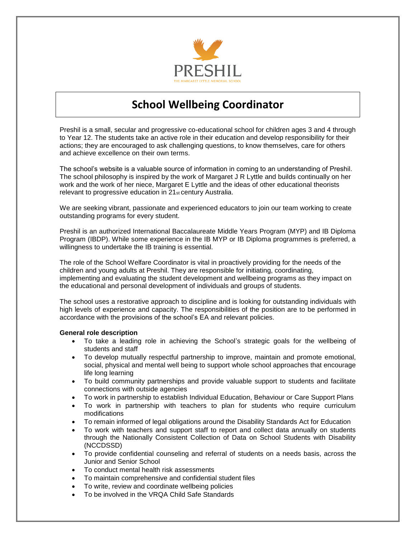

# **School Wellbeing Coordinator**

Preshil is a small, secular and progressive co-educational school for children ages 3 and 4 through to Year 12. The students take an active role in their education and develop responsibility for their actions; they are encouraged to ask challenging questions, to know themselves, care for others and achieve excellence on their own terms.

The school's website is a valuable source of information in coming to an understanding of Preshil. The school philosophy is inspired by the work of Margaret J R Lyttle and builds continually on her work and the work of her niece, Margaret E Lyttle and the ideas of other educational theorists relevant to progressive education in 21<sub>st</sub> century Australia.

We are seeking vibrant, passionate and experienced educators to join our team working to create outstanding programs for every student.

Preshil is an authorized International Baccalaureate Middle Years Program (MYP) and IB Diploma Program (IBDP). While some experience in the IB MYP or IB Diploma programmes is preferred, a willingness to undertake the IB training is essential.

The role of the School Welfare Coordinator is vital in proactively providing for the needs of the children and young adults at Preshil. They are responsible for initiating, coordinating, implementing and evaluating the student development and wellbeing programs as they impact on the educational and personal development of individuals and groups of students.

The school uses a restorative approach to discipline and is looking for outstanding individuals with high levels of experience and capacity. The responsibilities of the position are to be performed in accordance with the provisions of the school's EA and relevant policies.

#### **General role description**

- To take a leading role in achieving the School's strategic goals for the wellbeing of students and staff
- To develop mutually respectful partnership to improve, maintain and promote emotional, social, physical and mental well being to support whole school approaches that encourage life long learning
- To build community partnerships and provide valuable support to students and facilitate connections with outside agencies
- To work in partnership to establish Individual Education, Behaviour or Care Support Plans
- To work in partnership with teachers to plan for students who require curriculum modifications
- To remain informed of legal obligations around the Disability Standards Act for Education
- To work with teachers and support staff to report and collect data annually on students through the Nationally Consistent Collection of Data on School Students with Disability (NCCDSSD)
- To provide confidential counseling and referral of students on a needs basis, across the Junior and Senior School
- To conduct mental health risk assessments
- To maintain comprehensive and confidential student files
- To write, review and coordinate wellbeing policies
- To be involved in the VRQA Child Safe Standards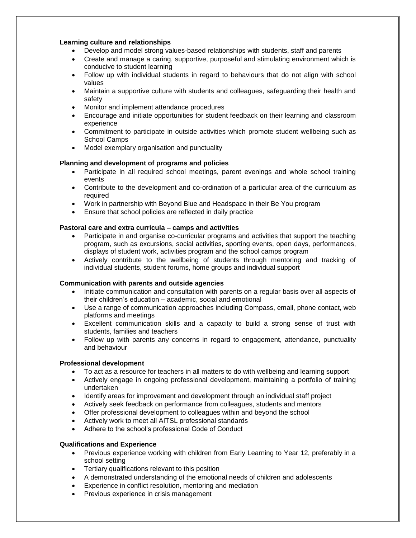### **Learning culture and relationships**

- Develop and model strong values-based relationships with students, staff and parents
- Create and manage a caring, supportive, purposeful and stimulating environment which is conducive to student learning
- Follow up with individual students in regard to behaviours that do not align with school values
- Maintain a supportive culture with students and colleagues, safeguarding their health and safety
- Monitor and implement attendance procedures
- Encourage and initiate opportunities for student feedback on their learning and classroom experience
- Commitment to participate in outside activities which promote student wellbeing such as School Camps
- Model exemplary organisation and punctuality

# **Planning and development of programs and policies**

- Participate in all required school meetings, parent evenings and whole school training events
- Contribute to the development and co-ordination of a particular area of the curriculum as required
- Work in partnership with Beyond Blue and Headspace in their Be You program
- Ensure that school policies are reflected in daily practice

# **Pastoral care and extra curricula – camps and activities**

- Participate in and organise co-curricular programs and activities that support the teaching program, such as excursions, social activities, sporting events, open days, performances, displays of student work, activities program and the school camps program
- Actively contribute to the wellbeing of students through mentoring and tracking of individual students, student forums, home groups and individual support

#### **Communication with parents and outside agencies**

- Initiate communication and consultation with parents on a regular basis over all aspects of their children's education – academic, social and emotional
- Use a range of communication approaches including Compass, email, phone contact, web platforms and meetings
- Excellent communication skills and a capacity to build a strong sense of trust with students, families and teachers
- Follow up with parents any concerns in regard to engagement, attendance, punctuality and behaviour

#### **Professional development**

- To act as a resource for teachers in all matters to do with wellbeing and learning support
- Actively engage in ongoing professional development, maintaining a portfolio of training undertaken
- Identify areas for improvement and development through an individual staff project
- Actively seek feedback on performance from colleagues, students and mentors
- Offer professional development to colleagues within and beyond the school
- Actively work to meet all AITSL professional standards
- Adhere to the school's professional Code of Conduct

#### **Qualifications and Experience**

- Previous experience working with children from Early Learning to Year 12, preferably in a school setting
- Tertiary qualifications relevant to this position
- A demonstrated understanding of the emotional needs of children and adolescents
- Experience in conflict resolution, mentoring and mediation
- Previous experience in crisis management